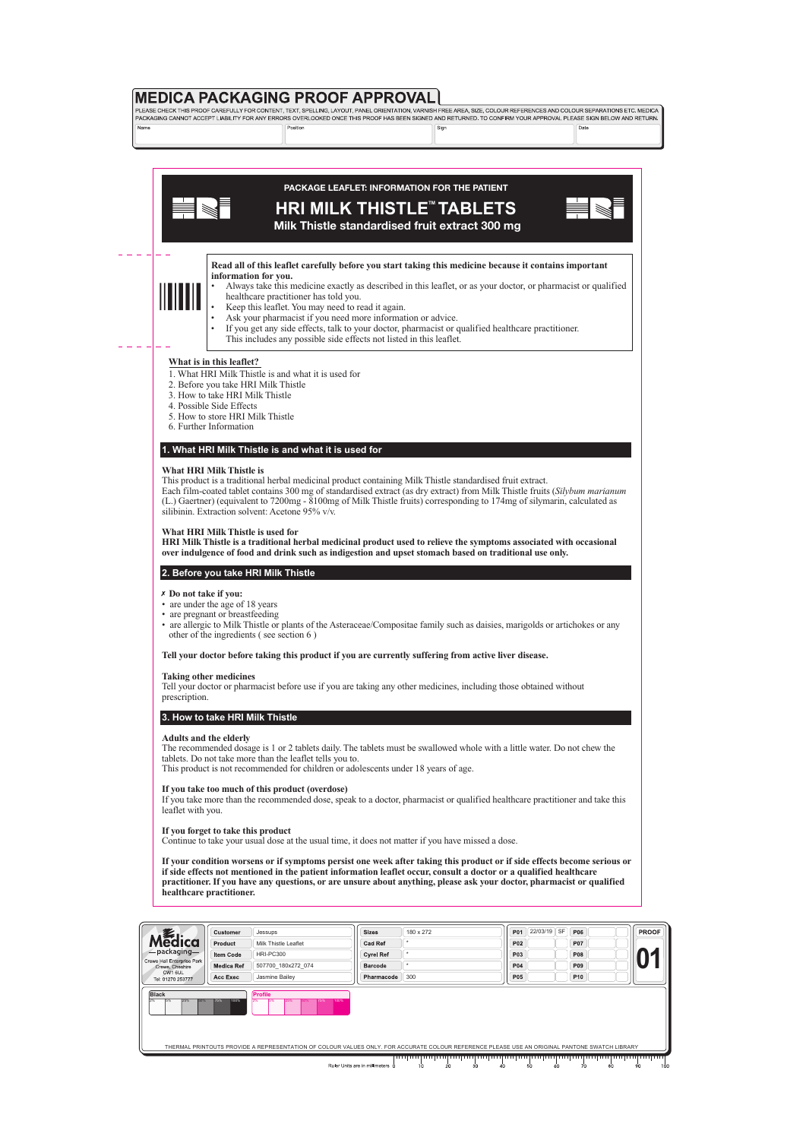

# **PACKAGE LEAFLET: INFORMATION FOR THE PATIENT**

# **HRI MILK THISTLE<sup>™</sup> TABLETS**



**Milk Thistle standardised fruit extract 300 mg**

#### **Read all of this leaflet carefully before you start taking this medicine because it contains important information for you.**



- Always take this medicine exactly as described in this leaflet, or as your doctor, or pharmacist or qualified • healthcare practitioner has told you.
- Keep this leaflet. You may need to read it again.
- Ask your pharmacist if you need more information or advice.
- If you get any side effects, talk to your doctor, pharmacist or qualified healthcare practitioner. This includes any possible side effects not listed in this leaflet.

## **What is in this leaflet?**

- 1. What HRI Milk Thistle is and what it is used for
- 2. Before you take HRI Milk Thistle
- 3. How to take HRI Milk Thistle
- 4. Possible Side Effects
- 5. How to store HRI Milk Thistle
- 6. Further Information

## **1. What HRI Milk Thistle is and what it is used for**

#### **What HRI Milk Thistle is**

This product is a traditional herbal medicinal product containing Milk Thistle standardised fruit extract.

Each film-coated tablet contains 300 mg of standardised extract (as dry extract) from Milk Thistle fruits (*Silybum marianum*  (L.) Gaertner) (equivalent to 7200mg - 8100mg of Milk Thistle fruits) corresponding to 174mg of silymarin, calculated as silibinin. Extraction solvent: Acetone 95% v/v.

#### **What HRI Milk Thistle is used for**

**HRI Milk Thistle is a traditional herbal medicinal product used to relieve the symptoms associated with occasional over indulgence of food and drink such as indigestion and upset stomach based on traditional use only.** 

#### **2. Before you take HRI Milk Thistle**

- **Do not take if you:**
- are under the age of 18 years
- are pregnant or breastfeeding
- are allergic to Milk Thistle or plants of the Asteraceae/Compositae family such as daisies, marigolds or artichokes or any other of the ingredients ( see section 6 )

### **Tell your doctor before taking this product if you are currently suffering from active liver disease.**

#### **Taking other medicines**

Tell your doctor or pharmacist before use if you are taking any other medicines, including those obtained without prescription.

### **3. How to take HRI Milk Thistle**

#### **Adults and the elderly**

The recommended dosage is 1 or 2 tablets daily. The tablets must be swallowed whole with a little water. Do not chew the tablets. Do not take more than the leaflet tells you to.

This product is not recommended for children or adolescents under 18 years of age.

### **If you take too much of this product (overdose)**

If you take more than the recommended dose, speak to a doctor, pharmacist or qualified healthcare practitioner and take this leaflet with you.

#### **If you forget to take this product**

Continue to take your usual dose at the usual time, it does not matter if you have missed a dose.

**If your condition worsens or if symptoms persist one week after taking this product or if side effects become serious or if side effects not mentioned in the patient information leaflet occur, consult a doctor or a qualified healthcare practitioner. If you have any questions, or are unsure about anything, please ask your doctor, pharmacist or qualified healthcare practitioner.**